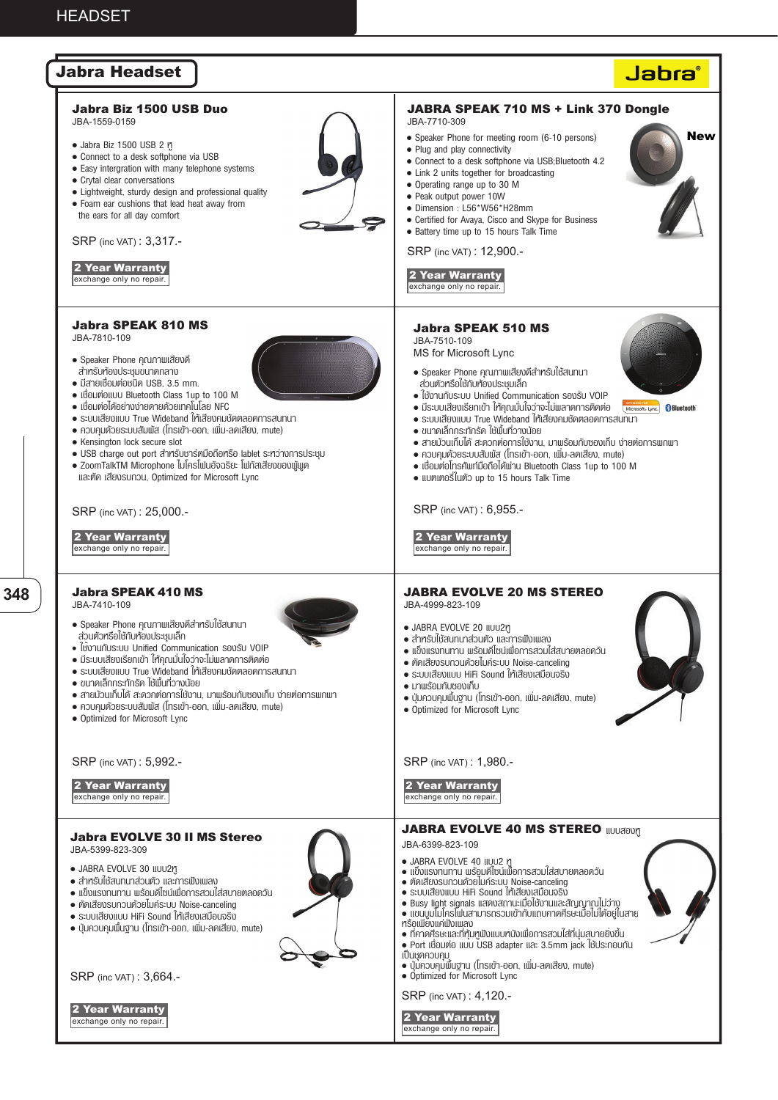

**348**